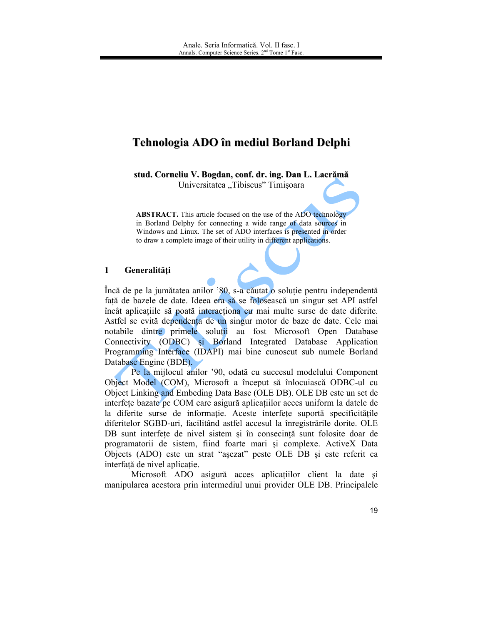# Tehnologia ADO în mediul Borland Delphi

stud. Corneliu V. Bogdan, conf. dr. ing. Dan L. Lacrămă

Universitatea "Tibiscus" Timișoara

**ABSTRACT.** This article focused on the use of the ADO technology in Borland Delphy for connecting a wide range of data sources in Windows and Linux. The set of ADO interfaces is presented in order to draw a complete image of their utility in different applications.

#### $\mathbf{1}$ Generalități

Încă de pe la jumătatea anilor '80, s-a căutat o soluție pentru independentă față de bazele de date. Ideea era să se folosească un singur set API astfel încât aplicațiile să poată interacționa cu mai multe surse de date diferite. Astfel se evită dependența de un singur motor de baze de date. Cele mai notabile dintre primele soluții au fost Microsoft Open Database Connectivity (ODBC) si Borland Integrated Database Application Programming Interface (IDAPI) mai bine cunoscut sub numele Borland Database Engine (BDE).

Pe la mijlocul anilor '90, odată cu succesul modelului Component Object Model (COM), Microsoft a început să înlocuiască ODBC-ul cu Object Linking and Embeding Data Base (OLE DB). OLE DB este un set de interfete bazate pe COM care asigură aplicațiilor acces uniform la datele de la diferite surse de informatie. Aceste interfete suportă specificitățile diferitelor SGBD-uri, facilitând astfel accesul la înregistrările dorite. OLE DB sunt interfete de nivel sistem și în consecință sunt folosite doar de programatorii de sistem, fiind foarte mari și complexe. ActiveX Data Objects (ADO) este un strat "asezat" peste OLE DB și este referit ca interfață de nivel aplicație.

Microsoft ADO asigură acces aplicațiilor client la date și manipularea acestora prin intermediul unui provider OLE DB. Principalele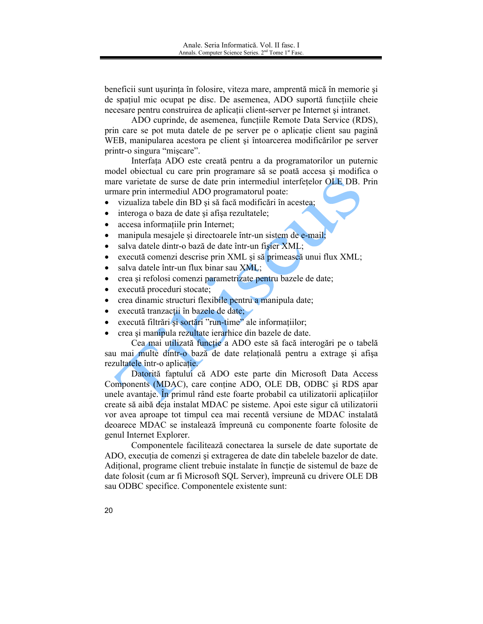beneficii sunt usurința în folosire, viteza mare, amprentă mică în memorie și de spațiul mic ocupat pe disc. De asemenea, ADO suportă funcțiile cheie necesare pentru construirea de aplicații client-server pe Internet și intranet.

ADO cuprinde, de asemenea, funcțiile Remote Data Service (RDS), prin care se pot muta datele de pe server pe o aplicație client sau pagină WEB, manipularea acestora pe client și întoarcerea modificărilor pe server printr-o singura "miscare".

Interfata ADO este creată pentru a da programatorilor un puternic model objectual cu care prin programare să se poată accesa și modifica o mare varietate de surse de date prin intermediul interfetelor OLE DB. Prin urmare prin intermediul ADO programatorul poate:

- vizualiza tabele din BD și să facă modificări în acestea;  $\bullet$
- interoga o baza de date și afișa rezultatele;  $\bullet$
- accesa informatiile prin Internet;
- manipula mesajele și directoarele într-un sistem de e-mail;
- salva datele dintr-o bază de date într-un fișier XML;
- execută comenzi descrise prin XML și să primească unui flux XML;
- salva datele într-un flux binar sau XML;
- crea si refolosi comenzi parametrizate pentru bazele de date;
- execută proceduri stocate;
- crea dinamic structuri flexibile pentru a manipula date;
- execută tranzacții în bazele de date;
- execută filtrări si sortări "run-time" ale informațiilor;
- crea și manipula rezultate ierarhice din bazele de date.

Cea mai utilizată funcție a ADO este să facă interogări pe o tabelă sau mai multe dintr-o bază de date relatională pentru a extrage și afișa rezultatele într-o aplicatie.

Datorită faptului că ADO este parte din Microsoft Data Access Components (MDAC), care contine ADO, OLE DB, ODBC și RDS apar unele avantaje. În primul rând este foarte probabil ca utilizatorii aplicațiilor create să aibă deja instalat MDAC pe sisteme. Apoi este sigur că utilizatorii vor avea aproape tot timpul cea mai recentă versiune de MDAC instalată deoarece MDAC se instalează împreună cu componente foarte folosite de genul Internet Explorer.

Componentele facilitează conectarea la sursele de date suportate de ADO, execuția de comenzi și extragerea de date din tabelele bazelor de date. Aditional, programe client trebuie instalate în funcție de sistemul de baze de date folosit (cum ar fi Microsoft SQL Server), împreună cu drivere OLE DB sau ODBC specifice. Componentele existente sunt: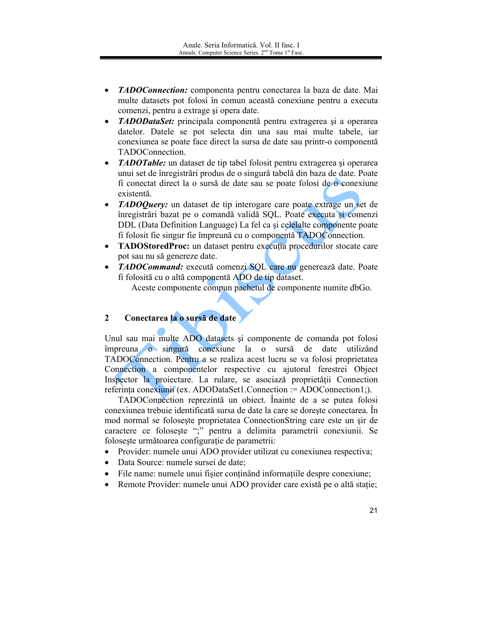- TADOConnection: componenta pentru conectarea la baza de date. Mai multe datasets pot folosi în comun această conexiune pentru a executa comenzi, pentru a extrage și opera date.
- TADODataSet: principala componentă pentru extragerea și a operarea  $\bullet$ datelor. Datele se pot selecta din una sau mai multe tabele, iar conexiunea se poate face direct la sursa de date sau printr-o componentă TADOConnection.
- **TADOTable:** un dataset de tip tabel folosit pentru extragerea și operarea  $\bullet$ unui set de înregistrări produs de o singură tabelă din baza de date. Poate fi conectat direct la o sursă de date sau se poate folosi de o conexiune existentă.
- *TADOQuery:* un dataset de tip interogare care poate extrage un set de înregistrări bazat pe o comandă validă SQL. Poate executa și comenzi DDL (Data Definition Language) La fel ca și celelalte componente poate fi folosit fie singur fie împreună cu o componentă TADOConnection.
- TADOStoredProc: un dataset pentru executia procedurilor stocate care pot sau nu să genereze date.
- TADOCommand: execută comenzi SQL care nu generează date. Poate fi folosită cu o altă componentă ADO de tip dataset.

Aceste componente compun pachetul de componente numite dbGo.

### Conectarea la o sursă de date  $\overline{2}$

Unul sau mai multe ADO datasets și componente de comanda pot folosi împreuna o singură conexiune la o sursă de date utilizând TADOConnection. Pentru a se realiza acest lucru se va folosi proprietatea Connection a componentelor respective cu ajutorul ferestrei Object Inspector la proiectare. La rulare, se asociază proprietății Connection referința conexiunii (ex. ADODataSet1.Connection := ADOConnection1;).

TADOConnection reprezintă un obiect. Înainte de a se putea folosi conexiunea trebuie identificată sursa de date la care se doreste conectarea. În mod normal se folosește proprietatea ConnectionString care este un sir de caractere ce folosește ";" pentru a delimita parametrii conexiunii. Se folosește următoarea configurație de parametrii:

- Provider: numele unui ADO provider utilizat cu conexiunea respectiva;  $\bullet$
- Data Source: numele sursei de date;  $\bullet$
- File name: numele unui fisier continând informatiile despre conexiune;
- Remote Provider: numele unui ADO provider care există pe o altă stație;  $\bullet$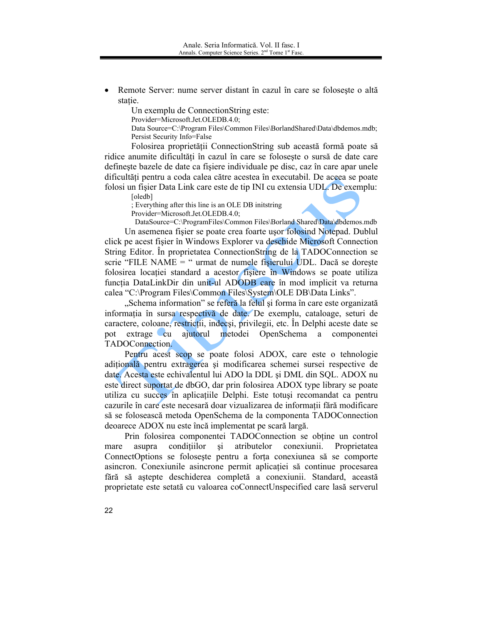Remote Server: nume server distant în cazul în care se foloseste o altă stație.

Un exemplu de ConnectionString este:

Provider=Microsoft.Jet.OLEDB.4.0;

Data Source=C:\Program Files\Common Files\BorlandShared\Data\dbdemos.mdb; Persist Security Info=False

Folosirea proprietății ConnectionString sub această formă poate să ridice anumite dificultăți în cazul în care se folosește o sursă de date care defineste bazele de date ca fisiere individuale pe disc, caz în care apar unele dificultăți pentru a coda calea către acestea în executabil. De aceea se poate folosi un fișier Data Link care este de tip INI cu extensia UDL. De exemplu:

[oledb]

: Everything after this line is an OLE DB initstring

Provider=Microsoft.Jet.OLEDB.4.0;

DataSource=C:\ProgramFiles\Common Files\Borland Shared\Data\dbdemos.mdb Un asemenea fișier se poate crea foarte ușor folosind Notepad. Dublul click pe acest fisier în Windows Explorer va deschide Microsoft Connection String Editor. In proprietatea ConnectionString de la TADOConnection se scrie "FILE NAME = " urmat de numele fisierului UDL. Dacă se dorește folosirea locației standard a acestor fișiere în Windows se poate utiliza funcția DataLinkDir din unit-ul ADODB care în mod implicit va returna calea "C:\Program Files\Common Files\System\OLE DB\Data Links".

"Schema information" se referă la felul și forma în care este organizată informatia în sursa respectivă de date. De exemplu, cataloage, seturi de caractere, coloane, restricții, indecși, privilegii, etc. În Delphi aceste date se pot  $extrage$  cu ajutorul metodei OpenSchema a componentei TADOConnection.

Pentru acest scop se poate folosi ADOX, care este o tehnologie adițională pentru extragerea și modificarea schemei sursei respective de date. Acesta este echivalentul lui ADO la DDL și DML din SQL. ADOX nu este direct suportat de dbGO, dar prin folosirea ADOX type library se poate utiliza cu succes în aplicatiile Delphi. Este totusi recomandat ca pentru cazurile în care este necesară doar vizualizarea de informații fără modificare să se folosească metoda OpenSchema de la componenta TADOConnection deoarece ADOX nu este încă implementat pe scară largă.

Prin folosirea componentei TADOConnection se obține un control asupra conditiilor  $\overline{si}$ atributelor conexiunii. Proprietatea mare ConnectOptions se foloseste pentru a forta conexiunea să se comporte asincron. Conexiunile asincrone permit aplicației să continue procesarea fără să aștepte deschiderea completă a conexiunii. Standard, această proprietate este setată cu valoarea coConnectUnspecified care lasă serverul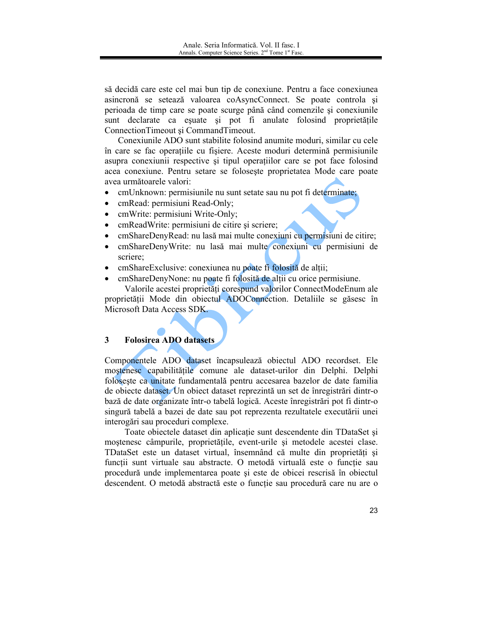să decidă care este cel mai bun tip de conexiune. Pentru a face conexiunea asincronă se setează valoarea coAsyncConnect. Se poate controla și perioada de timp care se poate scurge până când comenzile și conexiunile sunt declarate ca esuate și pot fi anulate folosind proprietățile ConnectionTimeout si CommandTimeout.

Conexiunile ADO sunt stabilite folosind anumite moduri, similar cu cele în care se fac operațiile cu fișiere. Aceste moduri determină permisiunile asupra conexiunii respective si tipul operatiilor care se pot face folosind acea conexiune. Pentru setare se foloseste proprietatea Mode care poate avea următoarele valori:

- em Unknown: permisiunile nu sunt setate sau nu pot fi determinate;
- cmRead: permisiuni Read-Only;
- cmWrite: permisiuni Write-Only;
- emReadWrite: permisiuni de citire și scriere;
- emShareDenyRead: nu lasă mai multe conexiuni cu permisiuni de citire;
- cmShareDenyWrite: nu lasă mai multe conexiuni cu permisiuni de  $\bullet$ scriere;
- em Share Exclusive: conexiunea nu poate fi folosită de alții;
- emShareDenyNone: nu poate fi folosită de altii cu orice permisiune.

Valorile acestei proprietăți corespund valorilor ConnectModeEnum ale proprietății Mode din obiectul ADOConnection. Detaliile se găsesc în Microsoft Data Access SDK.

#### $3<sup>1</sup>$ **Folosirea ADO datasets**

Componentele ADO dataset încapsulează obiectul ADO recordset. Ele mostenesc capabilitățile comune ale dataset-urilor din Delphi. Delphi folosește ca unitate fundamentală pentru accesarea bazelor de date familia de objecte dataset. Un object dataset reprezintă un set de înregistrări dintr-o bază de date organizate într-o tabelă logică. Aceste înregistrări pot fi dintr-o singură tabelă a bazei de date sau pot reprezenta rezultatele executării unei interogări sau proceduri complexe.

Toate objectele dataset din aplicatie sunt descendente din TDataSet și moștenesc câmpurile, proprietățile, event-urile și metodele acestei clase. TDataSet este un dataset virtual, însemnând că multe din proprietăti și funcții sunt virtuale sau abstracte. O metodă virtuală este o funcție sau procedură unde implementarea poate și este de obicei rescrisă în obiectul descendent. O metodă abstractă este o functie sau procedură care nu are o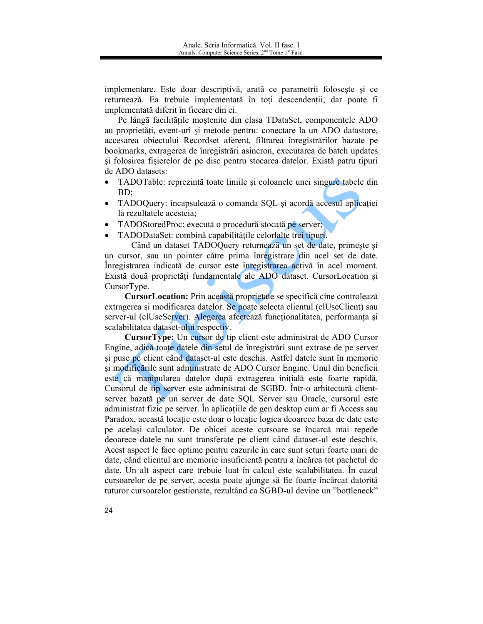implementare. Este doar descriptivă, arată ce parametrii foloseste și ce returnează. Ea trebuie implementată în toți descendenții, dar poate fi implementată diferit în fiecare din ei.

Pe lângă facilitățile moștenite din clasa TDataSet, componentele ADO au proprietăți, event-uri și metode pentru: conectare la un ADO datastore, accesarea obiectului Recordset aferent, filtrarea înregistrărilor bazate pe bookmarks, extragerea de înregistrări asincron, executarea de batch updates si folosirea fisierelor de pe disc pentru stocarea datelor. Există patru tipuri de ADO datasets:

- TADOTable: reprezintă toate liniile și coloanele unei singure tabele din  $\bullet$  $BD$ :
- TADOQuery: încapsulează o comanda SQL și acordă accesul aplicației  $\bullet$ la rezultatele acesteia:
- TADOStoredProc: execută o procedură stocată pe server;
- TADODataSet: combină capabilitățile celorlalte trei tipuri.

Când un dataset TADOQuery returnează un set de date, primește și un cursor, sau un pointer către prima înregistrare din acel set de date. Înregistrarea indicată de cursor este înregistrarea activă în acel moment. Există două proprietăți fundamentale ale ADO dataset. CursorLocation și CursorType.

Cursor Location: Prin această proprietate se specifică cine controlează extragerea și modificarea datelor. Se poate selecta clientul (clUseClient) sau server-ul (clUseServer). Alegerea afectează funcționalitatea, performanța și scalabilitatea dataset-ului respectiv.

CursorType: Un cursor de tip client este administrat de ADO Cursor Engine, adică toate datele din setul de înregistrări sunt extrase de pe server și puse pe client când dataset-ul este deschis. Astfel datele sunt în memorie și modificările sunt administrate de ADO Cursor Engine. Unul din beneficii este că manipularea datelor după extragerea inițială este foarte rapidă. Cursorul de tip server este administrat de SGBD. Într-o arhitectură clientserver bazată pe un server de date SQL Server sau Oracle, cursorul este administrat fizic pe server. În aplicațiile de gen desktop cum ar fi Access sau Paradox, această locație este doar o locație logica deoarece baza de date este pe același calculator. De obicei aceste cursoare se încarcă mai repede deoarece datele nu sunt transferate pe client când dataset-ul este deschis. Acest aspect le face optime pentru cazurile în care sunt seturi foarte mari de date, când clientul are memorie insuficientă pentru a încărca tot pachetul de date. Un alt aspect care trebuie luat în calcul este scalabilitatea. În cazul cursoarelor de pe server, acesta poate ajunge să fie foarte încărcat datorită tuturor cursoarelor gestionate, rezultând ca SGBD-ul devine un "bottleneck"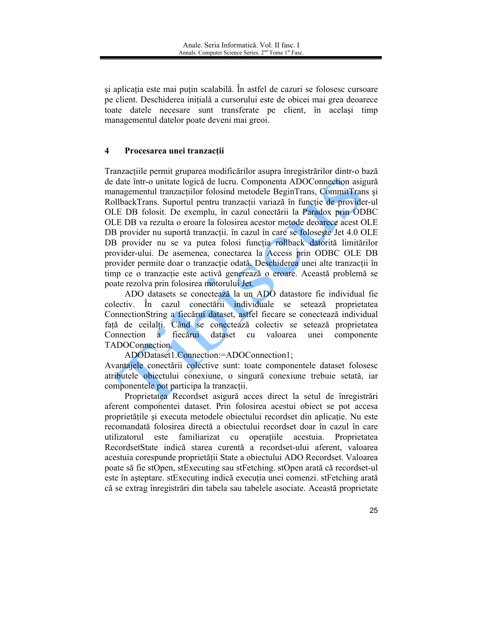și aplicația este mai puțin scalabilă. În astfel de cazuri se folosesc cursoare pe client. Deschiderea inițială a cursorului este de obicei mai grea deoarece toate datele necesare sunt transferate pe client, în acelasi timp managementul datelor poate deveni mai greoi.

#### $\overline{\mathbf{4}}$ Procesarea unei tranzacții

Tranzacțiile permit gruparea modificărilor asupra înregistrărilor dintr-o bază de date într-o unitate logică de lucru. Componenta ADOConnection asigură managementul tranzactiilor folosind metodele BeginTrans, CommitTrans și RollbackTrans. Suportul pentru tranzacții variază în funcție de provider-ul OLE DB folosit. De exemplu, în cazul conectării la Paradox prin ODBC OLE DB va rezulta o eroare la folosirea acestor metode deoarece acest OLE DB provider nu suportă tranzactii, în cazul în care se foloseste Jet 4.0 OLE DB provider nu se va putea folosi funcția rollback datorită limitărilor provider-ului. De asemenea, conectarea la Access prin ODBC OLE DB provider permite doar o tranzacție odată. Deschiderea unei alte tranzacții în timp ce o tranzacție este activă generează o eroare. Această problemă se poate rezolva prin folosirea motorului Jet.

ADO datasets se conectează la un ADO datastore fie individual fie colectiv. În cazul conectării individuale se setează proprietatea ConnectionString a fiecărui dataset, astfel fiecare se conectează individual față de ceilalți. Când se conectează colectiv se setează proprietatea Connection a fiecărui dataset valoarea unei componente cu TADOConnection.

ADODataset1.Connection:=ADOConnection1;

Avantajele conectării colective sunt: toate componentele dataset folosesc atributele objectului conexiune, o singură conexiune trebuie setată, iar componentele pot participa la tranzactii.

Proprietatea Recordset asigură acces direct la setul de înregistrări aferent componentei dataset. Prin folosirea acestui obiect se pot accesa proprietățile și executa metodele obiectului recordset din aplicație. Nu este recomandată folosirea directă a obiectului recordset doar în cazul în care utilizatorul este familiarizat cu operațiile acestuia. Proprietatea RecordsetState indică starea curentă a recordset-ului aferent, valoarea acestuia corespunde proprietății State a obiectului ADO Recordset. Valoarea poate să fie stOpen, stExecuting sau stFetching. stOpen arată că recordset-ul este în așteptare. stExecuting indică execuția unei comenzi. stFetching arată că se extrag înregistrări din tabela sau tabelele asociate. Această proprietate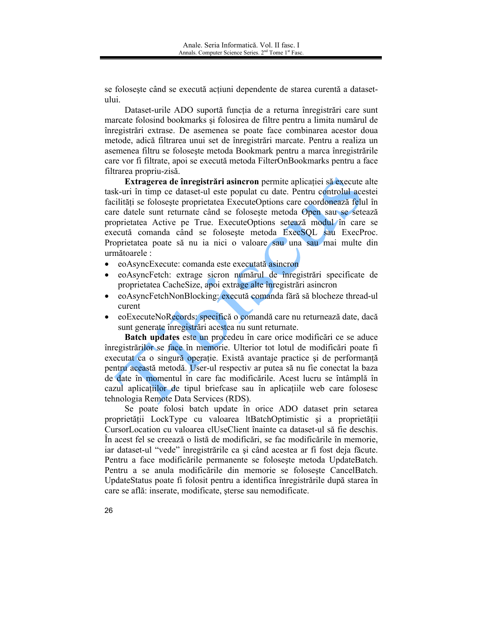se foloseste când se execută acțiuni dependente de starea curentă a datasetului.

Dataset-urile ADO suportă funcția de a returna înregistrări care sunt marcate folosind bookmarks și folosirea de filtre pentru a limita numărul de înregistrări extrase. De asemenea se poate face combinarea acestor doua metode, adică filtrarea unui set de înregistrări marcate. Pentru a realiza un asemenea filtru se folosește metoda Bookmark pentru a marca înregistrările care vor fi filtrate, apoi se execută metoda FilterOnBookmarks pentru a face filtrarea propriu-zisă.

Extragerea de înregistrări asincron permite aplicației să execute alte task-uri în timp ce dataset-ul este populat cu date. Pentru controlul acestei facilități se folosește proprietatea ExecuteOptions care coordonează felul în care datele sunt returnate când se foloseste metoda Open sau se setează proprietatea Active pe True. ExecuteOptions setează modul în care se execută comanda când se folosește metoda ExecSQL sau ExecProc. Proprietatea poate să nu ia nici o valoare sau una sau mai multe din următoarele :

- eoAsyncExecute: comanda este executată asincron  $\bullet$
- eoAsyncFetch: extrage sicron numărul de înregistrări specificate de proprietatea CacheSize, apoi extrage alte înregistrări asincron
- eoAsyncFetchNonBlocking: execută comanda fără să blocheze thread-ul  $\bullet$ curent
- eoExecuteNoRecords: specifică o comandă care nu returnează date, dacă sunt generate înregistrări acestea nu sunt returnate.

Batch updates este un procedeu în care orice modificări ce se aduce înregistrărilor se face în memorie. Ulterior tot lotul de modificări poate fi executat ca o singură operație. Există avantaje practice și de performantă pentru această metodă. User-ul respectiv ar putea să nu fie conectat la baza de date în momentul în care fac modificările. Acest lucru se întâmplă în cazul aplicațiilor de tipul briefcase sau în aplicațiile web care folosesc tehnologia Remote Data Services (RDS).

Se poate folosi batch update în orice ADO dataset prin setarea proprietății LockType cu valoarea ltBatchOptimistic și a proprietății CursorLocation cu valoarea clUseClient înainte ca dataset-ul să fie deschis. În acest fel se creează o listă de modificări, se fac modificările în memorie, iar dataset-ul "vede" înregistrările ca și când acestea ar fi fost deja făcute. Pentru a face modificările permanente se foloseste metoda UpdateBatch. Pentru a se anula modificările din memorie se folosește CancelBatch. UpdateStatus poate fi folosit pentru a identifica înregistrările după starea în care se află: inserate, modificate, sterse sau nemodificate.